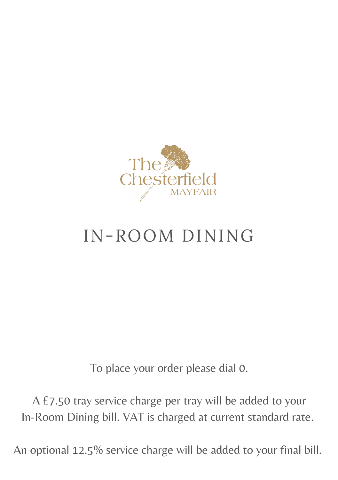

## IN-ROOM DINING

To place your order please dial 0.

A £7.50 tray service charge per tray will be added to your In-Room Dining bill. VAT is charged at current standard rate.

An optional 12.5% service charge will be added to your final bill.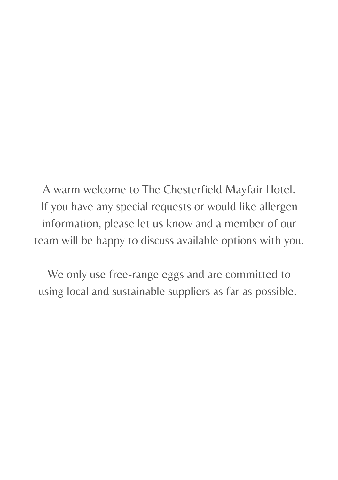A warm welcome to The Chesterfield Mayfair Hotel. If you have any special requests or would like allergen information, please let us know and a member of our team will be happy to discuss available options with you.

We only use free-range eggs and are committed to using local and sustainable suppliers as far as possible.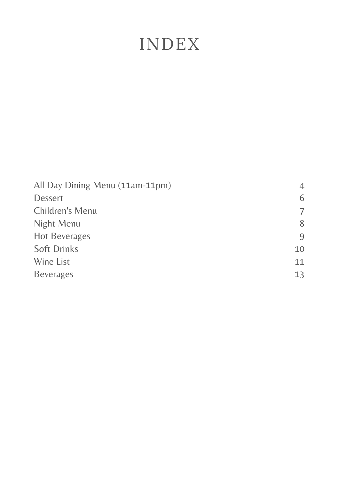### INDEX

| All Day Dining Menu (11am-11pm) | 4  |
|---------------------------------|----|
| <b>Dessert</b>                  | 6  |
| Children's Menu                 | 7  |
| Night Menu                      | 8  |
| <b>Hot Beverages</b>            | 9  |
| <b>Soft Drinks</b>              | 10 |
| Wine List                       | 11 |
| <b>Beverages</b>                | 13 |
|                                 |    |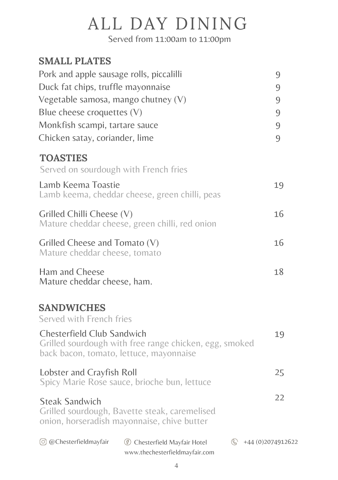## ALL DAY DINING

Served from 11:00am to 11:00pm

| <b>SMALL PLATES</b>                      |                                                        |                     |
|------------------------------------------|--------------------------------------------------------|---------------------|
| Pork and apple sausage rolls, piccalilli |                                                        | 9                   |
| Duck fat chips, truffle mayonnaise       |                                                        | 9                   |
| Vegetable samosa, mango chutney (V)      |                                                        | 9                   |
| Blue cheese croquettes (V)               |                                                        | 9                   |
| Monkfish scampi, tartare sauce           |                                                        | 9                   |
| Chicken satay, coriander, lime           |                                                        | 9                   |
| <b>TOASTIES</b>                          |                                                        |                     |
| Served on sourdough with French fries    |                                                        |                     |
| Lamb Keema Toastie                       |                                                        | 19                  |
|                                          | Lamb keema, cheddar cheese, green chilli, peas         |                     |
| Grilled Chilli Cheese (V)                |                                                        | 16                  |
|                                          | Mature cheddar cheese, green chilli, red onion         |                     |
| Grilled Cheese and Tomato $(V)$          |                                                        | 16                  |
| Mature cheddar cheese, tomato            |                                                        |                     |
| Ham and Cheese                           |                                                        | 18                  |
| Mature cheddar cheese, ham.              |                                                        |                     |
| <b>SANDWICHES</b>                        |                                                        |                     |
| Served with French fries                 |                                                        |                     |
| Chesterfield Club Sandwich               |                                                        | 19                  |
|                                          | Grilled sourdough with free range chicken, egg, smoked |                     |
|                                          | back bacon, tomato, lettuce, mayonnaise                |                     |
| Lobster and Crayfish Roll                |                                                        | 25                  |
|                                          | Spicy Marie Rose sauce, brioche bun, lettuce           |                     |
| <b>Steak Sandwich</b>                    |                                                        | 22                  |
|                                          | Grilled sourdough, Bavette steak, caremelised          |                     |
|                                          | onion, horseradish mayonnaise, chive butter            |                     |
| © @Chesterfieldmayfair                   | <b>5</b> Chesterfield Mayfair Hotel                    | +44 (0) 2074 912622 |
|                                          | www.thechesterfieldmayfair.com                         |                     |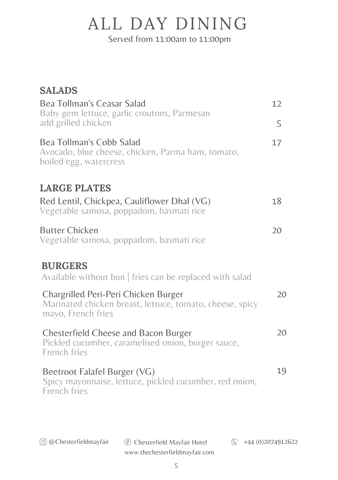# ALL DAY DINING

Served from 11:00am to 11:00pm

| <b>SALADS</b>                                                                                                          |    |
|------------------------------------------------------------------------------------------------------------------------|----|
| Bea Tollman's Ceasar Salad                                                                                             | 12 |
| Baby gem lettuce, garlic croutons, Parmesan<br>add grilled chicken                                                     | 5  |
| Bea Tollman's Cobb Salad<br>Avocado, blue cheese, chicken, Parma ham, tomato,<br>boiled egg, watercress                | 17 |
| <b>LARGE PLATES</b>                                                                                                    |    |
| Red Lentil, Chickpea, Cauliflower Dhal (VG)<br>Vegetable samosa, poppadom, basmati rice                                | 18 |
| <b>Butter Chicken</b><br>Vegetable samosa, poppadom, basmati rice                                                      | 20 |
| <b>BURGERS</b><br>Available without bun   fries can be replaced with salad                                             |    |
| Chargrilled Peri-Peri Chicken Burger<br>Marinated chicken breast, lettuce, tomato, cheese, spicy<br>mayo, French fries | 20 |
| Chesterfield Cheese and Bacon Burger<br>Pickled cucumber, caramelised onion, burger sauce,<br>French fries             | 20 |
| Beetroot Falafel Burger (VG)<br>Spicy mayonnaise, lettuce, pickled cucumber, red onion,<br>French fries                | 19 |
|                                                                                                                        |    |
|                                                                                                                        |    |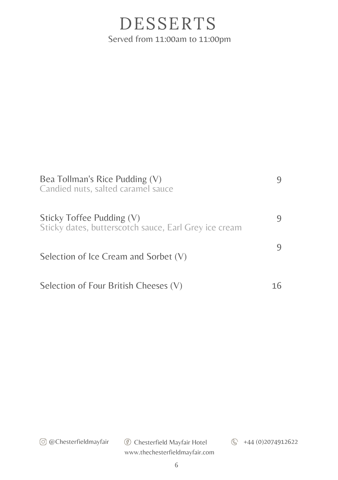### DESSERTS Served from 11:00am to 11:00pm

| Bea Tollman's Rice Pudding (V)<br>Candied nuts, salted caramel sauce               |   |
|------------------------------------------------------------------------------------|---|
| Sticky Toffee Pudding (V)<br>Sticky dates, butterscotch sauce, Earl Grey ice cream | 9 |
| Selection of Ice Cream and Sorbet (V)                                              |   |
| Selection of Four British Cheeses (V)                                              |   |

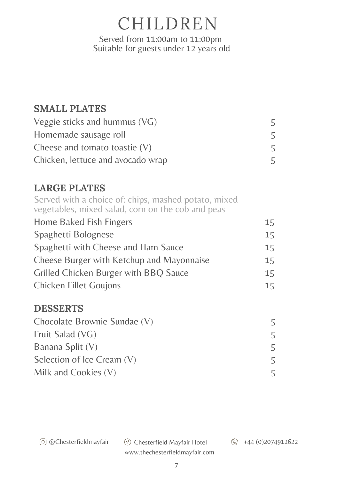CHILDREN Served from 11:00am to 11:00pm Suitable for guests under 12 years old

#### **SMALL PLATES**

| Veggie sticks and hummus $(VG)$   |  |
|-----------------------------------|--|
| Homemade sausage roll             |  |
| Cheese and tomato toastie $(V)$   |  |
| Chicken, lettuce and avocado wrap |  |

#### **LARGE PLATES**

Home Baked Fish Fingers Spaghetti Bolognese Spaghetti with Cheese and Ham Sauce Cheese Burger with Ketchup and Mayonnaise Grilled Chicken Burger with BBQ Sauce Chicken Fillet Goujons 15 15 15 15 15 15 Served with a choice of: chips, mashed potato, mixed vegetables, mixed salad, corn on the cob and peas

#### **DESSERTS**

| Chocolate Brownie Sundae (V) |   |
|------------------------------|---|
| Fruit Salad (VG)             |   |
| Banana Split (V)             | 5 |
| Selection of Ice Cream (V)   | 5 |
| Milk and Cookies $(V)$       |   |

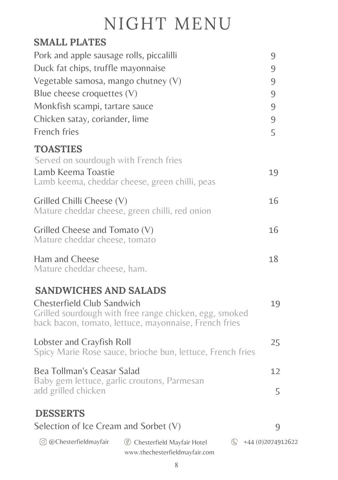### NIGHT MENU

#### **SMALL PLATES**

| Pork and apple sausage rolls, piccalilli                                       |                                                                                                                 | 9                         |
|--------------------------------------------------------------------------------|-----------------------------------------------------------------------------------------------------------------|---------------------------|
| Duck fat chips, truffle mayonnaise                                             |                                                                                                                 | 9                         |
| Vegetable samosa, mango chutney (V)                                            |                                                                                                                 | $\overline{9}$            |
| Blue cheese croquettes (V)                                                     |                                                                                                                 | 9                         |
| Monkfish scampi, tartare sauce                                                 |                                                                                                                 | 9                         |
| Chicken satay, coriander, lime                                                 |                                                                                                                 | 9                         |
| French fries                                                                   |                                                                                                                 | 5                         |
| <b>TOASTIES</b><br>Served on sourdough with French fries<br>Lamb Keema Toastie | Lamb keema, cheddar cheese, green chilli, peas                                                                  | 19                        |
| Grilled Chilli Cheese (V)                                                      | Mature cheddar cheese, green chilli, red onion                                                                  | 16                        |
| Grilled Cheese and Tomato (V)<br>Mature cheddar cheese, tomato                 |                                                                                                                 | 16                        |
| Ham and Cheese<br>Mature cheddar cheese, ham.                                  |                                                                                                                 | 18                        |
| <b>SANDWICHES AND SALADS</b>                                                   |                                                                                                                 |                           |
| Chesterfield Club Sandwich                                                     | Grilled sourdough with free range chicken, egg, smoked<br>back bacon, tomato, lettuce, mayonnaise, French fries | 19                        |
| Lobster and Crayfish Roll                                                      | Spicy Marie Rose sauce, brioche bun, lettuce, French fries                                                      | 25                        |
| Bea Tollman's Ceasar Salad<br>Baby gem lettuce, garlic croutons, Parmesan      |                                                                                                                 | 12                        |
| add grilled chicken                                                            |                                                                                                                 | 5                         |
| <b>DESSERTS</b>                                                                |                                                                                                                 |                           |
| Selection of Ice Cream and Sorbet $(V)$                                        |                                                                                                                 | 9                         |
| (o) @Chesterfieldmayfair                                                       | (6) Chesterfield Mayfair Hotel<br>www.thechesterfieldmayfair.com                                                | $\circ$ +44 (0)2074912622 |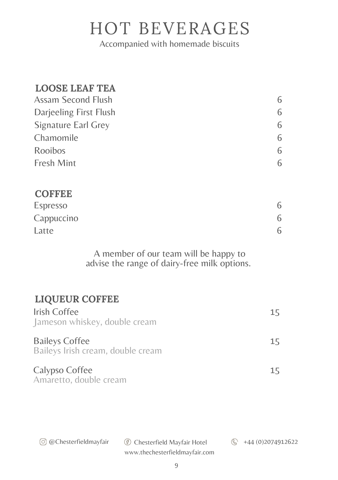### HOT BEVERAGES

Accompanied with homemade biscuits

#### **LOOSE LEAF TEA**

**COFFEE**

| Assam Second Flush     | 6 |
|------------------------|---|
| Darjeeling First Flush | 6 |
| Signature Earl Grey    | 6 |
| Chamomile              | 6 |
| Rooibos                | 6 |
| Fresh Mint             | 6 |
|                        |   |

| <b>COFFEE</b> |   |
|---------------|---|
| Espresso      |   |
| Cappuccino    | 6 |
| Latte         |   |

A member of our team will be happy to advise the range of dairy-free milk options.

#### **LIQUEUR COFFEE**

| Irish Coffee<br>Jameson whiskey, double cream              | 15 |
|------------------------------------------------------------|----|
| <b>Baileys Coffee</b><br>Baileys Irish cream, double cream | 15 |
| Calypso Coffee<br>Amaretto, double cream                   | 15 |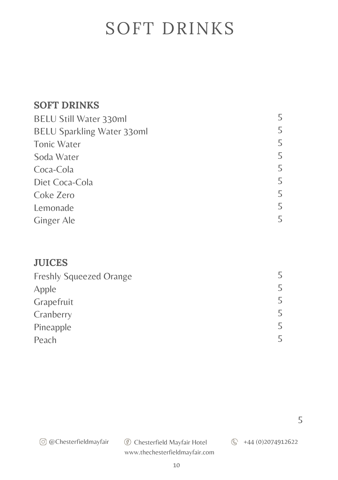### SOFT DRINKS

#### **SOFT DRINKS**

| BELU Still Water 330ml            |   |
|-----------------------------------|---|
| <b>BELU Sparkling Water 33oml</b> | 5 |
| Tonic Water                       | 5 |
| Soda Water                        | 5 |
| Coca-Cola                         | 5 |
| Diet Coca-Cola                    | 5 |
| Coke Zero                         | 5 |
| Lemonade                          | 5 |
| Ginger Ale                        | ц |

#### **JUICES**

| <b>Freshly Squeezed Orange</b> |   |
|--------------------------------|---|
| Apple                          |   |
| Grapefruit                     | ь |
| Cranberry                      |   |
| Pineapple                      |   |
| Peach                          |   |

5

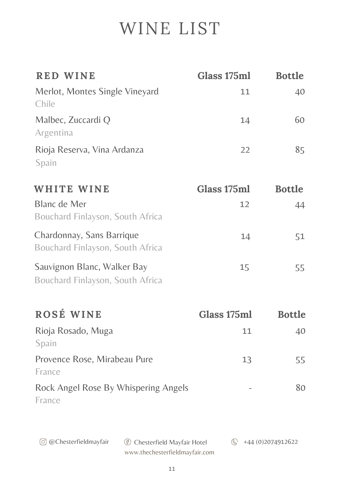### WINE LIST

| <b>RED WINE</b>                                                 | Glass 175ml | <b>Bottle</b>       |
|-----------------------------------------------------------------|-------------|---------------------|
| Merlot, Montes Single Vineyard<br>Chile                         | 11          | 40                  |
| Malbec, Zuccardi Q<br>Argentina                                 | 14          | 60                  |
| Rioja Reserva, Vina Ardanza<br>Spain                            | 22          | 85                  |
| WHITE WINE                                                      | Glass 175ml | <b>Bottle</b>       |
| <b>Blanc de Mer</b><br>Bouchard Finlayson, South Africa         | 12          | 44                  |
| Chardonnay, Sans Barrique<br>Bouchard Finlayson, South Africa   | 14          | 51                  |
| Sauvignon Blanc, Walker Bay<br>Bouchard Finlayson, South Africa | 15          | 55                  |
| ROSÉ WINE                                                       | Glass 175ml | <b>Bottle</b>       |
| Rioja Rosado, Muga<br>Spain                                     | 11          | 40                  |
| Provence Rose, Mirabeau Pure<br>France                          | 13          | 55                  |
| Rock Angel Rose By Whispering Angels<br>France                  |             | 80                  |
| © @Chesterfieldmayfair<br><b>6</b> Chesterfield Mayfair Hotel   | $\circledS$ | +44 (0) 2074 912622 |

www.thechesterfieldmayfair.com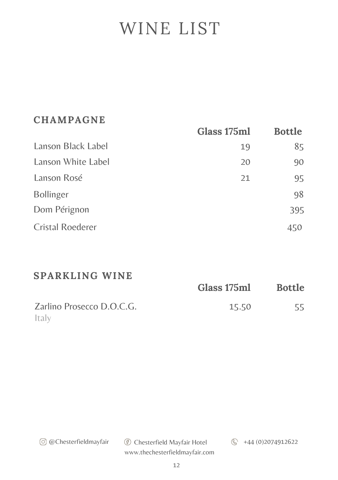### WINE LIST

#### **CHAMPAGNE**

|                         | Glass 175ml | <b>Bottle</b> |
|-------------------------|-------------|---------------|
| Lanson Black Label      | 19          | 85            |
| Lanson White Label      | 20          | 90            |
| Lanson Rosé             | 21          | 95            |
| <b>Bollinger</b>        |             | 98            |
| Dom Pérignon            |             | 395           |
| <b>Cristal Roederer</b> |             | 450           |

#### **SPARKLING WINE**

|                           | Glass 175ml | <b>Bottle</b> |
|---------------------------|-------------|---------------|
| Zarlino Prosecco D.O.C.G. | 15.50       | 55            |
| Italy                     |             |               |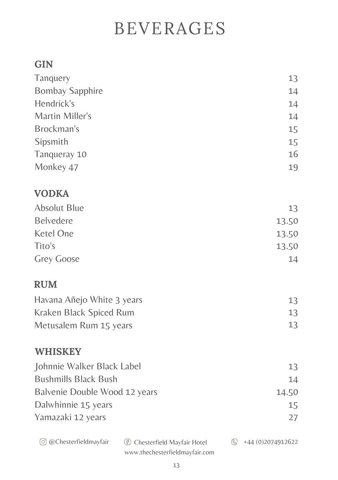### BEVERAGES

#### **GIN**

| Tanquery                      |                                                                       | 13                  |
|-------------------------------|-----------------------------------------------------------------------|---------------------|
| <b>Bombay Sapphire</b>        |                                                                       | 14                  |
| Hendrick's                    |                                                                       | 14                  |
| Martin Miller's               |                                                                       | 14                  |
| Brockman's                    |                                                                       | 15                  |
| Sipsmith                      |                                                                       | 15                  |
| Tanqueray 10                  |                                                                       | 16                  |
| Monkey 47                     |                                                                       | 19                  |
| <b>VODKA</b>                  |                                                                       |                     |
| <b>Absolut Blue</b>           |                                                                       | 13                  |
| Belvedere                     |                                                                       | 13.50               |
| Ketel One                     |                                                                       | 13.50               |
| Tito's                        |                                                                       | 13.50               |
| Grey Goose                    |                                                                       | 14                  |
| <b>RUM</b>                    |                                                                       |                     |
| Havana Añejo White 3 years    |                                                                       | 13                  |
| Kraken Black Spiced Rum       |                                                                       | 13                  |
| Metusalem Rum 15 years        |                                                                       | 13                  |
| <b>WHISKEY</b>                |                                                                       |                     |
| Johnnie Walker Black Label    |                                                                       | 13                  |
| <b>Bushmills Black Bush</b>   |                                                                       | 14                  |
| Balvenie Double Wood 12 years |                                                                       | 14.50               |
| Dalwhinnie 15 years           |                                                                       | 15                  |
| Yamazaki 12 years             |                                                                       | 27                  |
| © @Chesterfieldmayfair        | <b>6</b> Chesterfield Mayfair Hotel<br>www.thechesterfieldmayfair.com | +44 (0) 2074 912622 |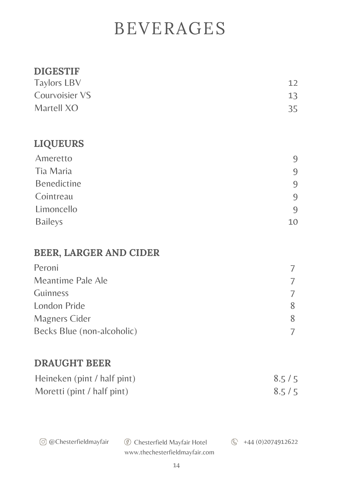### BEVERAGES

#### **DIGESTIF**

| <b>Taylors LBV</b> | 12 |
|--------------------|----|
| Courvoisier VS     | 13 |
| Martell XO         | 35 |

#### **LIQUEURS**

| Ameretto           | 9  |
|--------------------|----|
| Tia Maria          | 9  |
| <b>Benedictine</b> | 9  |
| Cointreau          | 9  |
| Limoncello         | 9  |
| <b>Baileys</b>     | 10 |

#### **BEER, LARGER AND CIDER**

| Peroni                     |  |
|----------------------------|--|
| Meantime Pale Ale          |  |
| Guinness                   |  |
| London Pride               |  |
| Magners Cider              |  |
| Becks Blue (non-alcoholic) |  |

#### **DRAUGHT BEER**

| Heineken (pint / half pint) | 8.5/5 |
|-----------------------------|-------|
| Moretti (pint / half pint)  | 8.5/5 |

| © @Chesterfieldmayfair | <b><i><sup>6</sup></i></b> Chesterfield Mayfair Hotel | $\circled{}$ +44 (0): |
|------------------------|-------------------------------------------------------|-----------------------|
|------------------------|-------------------------------------------------------|-----------------------|

@Chesterfieldmayfair Chesterfield Mayfair Hotel +44 (0)2074912622

www.thechesterfieldmayfair.com